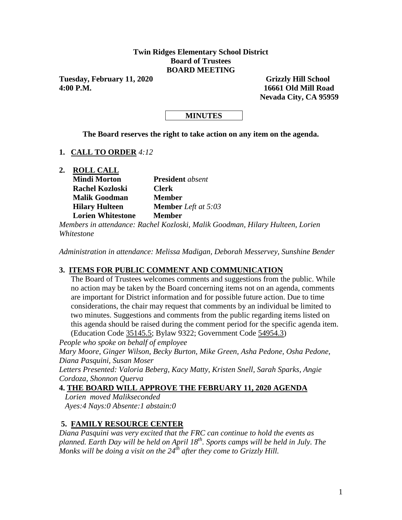### **Twin Ridges Elementary School District Board of Trustees BOARD MEETING**

Tuesday, February 11, 2020 Grizzly Hill School **4:00 P.M. 16661 Old Mill Road**

 **Nevada City, CA 95959**

### **MINUTES**

**The Board reserves the right to take action on any item on the agenda.**

### **1. CALL TO ORDER** *4:12*

**2. ROLL CALL**

| <b>Mindi Morton</b>      | <b>President</b> absent    |
|--------------------------|----------------------------|
| <b>Rachel Kozloski</b>   | <b>Clerk</b>               |
| <b>Malik Goodman</b>     | <b>Member</b>              |
| <b>Hilary Hulteen</b>    | <b>Member</b> Left at 5:03 |
| <b>Lorien Whitestone</b> | <b>Member</b>              |

*Members in attendance: Rachel Kozloski, Malik Goodman, Hilary Hulteen, Lorien Whitestone*

*Administration in attendance: Melissa Madigan, Deborah Messervey, Sunshine Bender*

### **3. ITEMS FOR PUBLIC COMMENT AND COMMUNICATION**

The Board of Trustees welcomes comments and suggestions from the public. While no action may be taken by the Board concerning items not on an agenda, comments are important for District information and for possible future action. Due to time considerations, the chair may request that comments by an individual be limited to two minutes. Suggestions and comments from the public regarding items listed on this agenda should be raised during the comment period for the specific agenda item. (Education Code 35145.5; Bylaw 9322; Government Code 54954.3)

*People who spoke on behalf of employee Mary Moore, Ginger Wilson, Becky Burton, Mike Green, Asha Pedone, Osha Pedone, Diana Pasquini, Susan Moser Letters Presented: Valoria Beberg, Kacy Matty, Kristen Snell, Sarah Sparks, Angie Cordoza, Shonnon Querva*

# **4. THE BOARD WILL APPROVE THE FEBRUARY 11, 2020 AGENDA**

 *Lorien moved Malikseconded Ayes:4 Nays:0 Absente:1 abstain:0* 

## **5. FAMILY RESOURCE CENTER**

*Diana Pasquini was very excited that the FRC can continue to hold the events as planned. Earth Day will be held on April 18th. Sports camps will be held in July. The Monks will be doing a visit on the 24th after they come to Grizzly Hill.*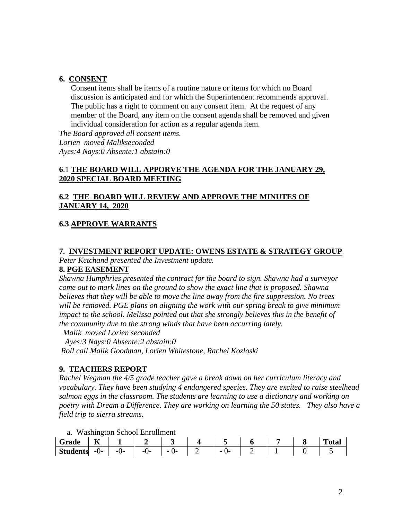#### **6. CONSENT**

Consent items shall be items of a routine nature or items for which no Board discussion is anticipated and for which the Superintendent recommends approval. The public has a right to comment on any consent item. At the request of any member of the Board, any item on the consent agenda shall be removed and given individual consideration for action as a regular agenda item.

*The Board approved all consent items. Lorien moved Malikseconded Ayes:4 Nays:0 Absente:1 abstain:0* 

### **6**.1 **THE BOARD WILL APPORVE THE AGENDA FOR THE JANUARY 29, 2020 SPECIAL BOARD MEETING**

### **6.2 THE BOARD WILL REVIEW AND APPROVE THE MINUTES OF JANUARY 14, 2020**

#### **6.3 APPROVE WARRANTS**

#### **7. INVESTMENT REPORT UPDATE: OWENS ESTATE & STRATEGY GROUP** *Peter Ketchand presented the Investment update.*

#### **8. PGE EASEMENT**

*Shawna Humphries presented the contract for the board to sign. Shawna had a surveyor come out to mark lines on the ground to show the exact line that is proposed. Shawna believes that they will be able to move the line away from the fire suppression. No trees will be removed. PGE plans on aligning the work with our spring break to give minimum impact to the school. Melissa pointed out that she strongly believes this in the benefit of the community due to the strong winds that have been occurring lately.*

*Malik moved Lorien seconded* 

 *Ayes:3 Nays:0 Absente:2 abstain:0* 

*Roll call Malik Goodman, Lorien Whitestone, Rachel Kozloski*

#### **9. TEACHERS REPORT**

*Rachel Wegman the 4/5 grade teacher gave a break down on her curriculum literacy and vocabulary. They have been studying 4 endangered species. They are excited to raise steelhead salmon eggs in the classroom. The students are learning to use a dictionary and working on poetry with Dream a Difference. They are working on learning the 50 states. They also have a field trip to sierra streams.* 

|  |  |  |  |  | <b>Washington School Enrollment</b> |
|--|--|--|--|--|-------------------------------------|
|--|--|--|--|--|-------------------------------------|

| Grade           | $-$<br>n |            |           |                                |                              |  | m<br>'otal |
|-----------------|----------|------------|-----------|--------------------------------|------------------------------|--|------------|
| <b>Students</b> | $-U$ -   | - 1<br>. . | --<br>. . | $\overline{\phantom{0}}$<br>-- | $\overline{\phantom{0}}$<br> |  |            |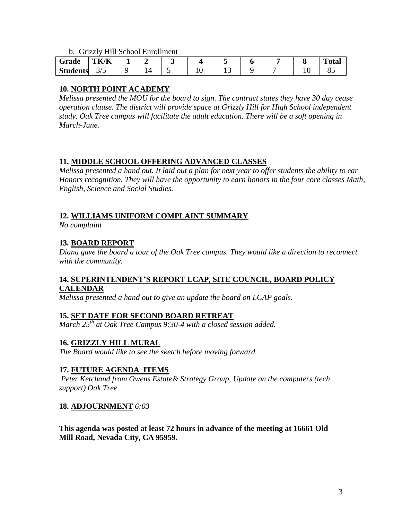b. Grizzly Hill School Enrollment

| Grade           | TK/K       | -<br>- |  |       |  |          | m<br>^÷^<br>-otal |
|-----------------|------------|--------|--|-------|--|----------|-------------------|
| <b>Students</b> | ۔ ،<br>3/5 |        |  | . . J |  | <b>.</b> |                   |

## **10. NORTH POINT ACADEMY**

*Melissa presented the MOU for the board to sign. The contract states they have 30 day cease operation clause. The district will provide space at Grizzly Hill for High School independent study. Oak Tree campus will facilitate the adult education. There will be a soft opening in March-June.* 

## **11. MIDDLE SCHOOL OFFERING ADVANCED CLASSES**

*Melissa presented a hand out. It laid out a plan for next year to offer students the ability to ear Honors recognition. They will have the opportunity to earn honors in the four core classes Math, English, Science and Social Studies.* 

## **12. WILLIAMS UNIFORM COMPLAINT SUMMARY**

*No complaint*

## **13. BOARD REPORT**

*Diana gave the board a tour of the Oak Tree campus. They would like a direction to reconnect with the community.* 

### **14. SUPERINTENDENT'S REPORT LCAP, SITE COUNCIL, BOARD POLICY CALENDAR**

*Melissa presented a hand out to give an update the board on LCAP goals.*

## **15. SET DATE FOR SECOND BOARD RETREAT**

*March 25th at Oak Tree Campus 9:30-4 with a closed session added.* 

## **16. GRIZZLY HILL MURAL**

*The Board would like to see the sketch before moving forward.* 

## **17. FUTURE AGENDA ITEMS**

*Peter Ketchand from Owens Estate& Strategy Group, Update on the computers (tech support) Oak Tree*

### **18. ADJOURNMENT** *6:03*

**This agenda was posted at least 72 hours in advance of the meeting at 16661 Old Mill Road, Nevada City, CA 95959.**